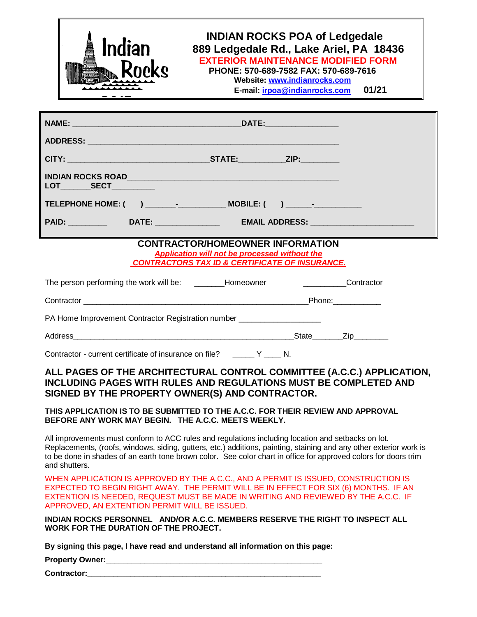| Indian                                                                                                                                                                                                                                                                                                             |                                                                                                                                                              | <b>INDIAN ROCKS POA of Ledgedale</b><br>889 Ledgedale Rd., Lake Ariel, PA 18436<br><b>EXTERIOR MAINTENANCE MODIFIED FORM</b><br>PHONE: 570-689-7582 FAX: 570-689-7616<br>Website: www.indianrocks.com<br>E-mail: irpoa@indianrocks.com<br>01/21 |
|--------------------------------------------------------------------------------------------------------------------------------------------------------------------------------------------------------------------------------------------------------------------------------------------------------------------|--------------------------------------------------------------------------------------------------------------------------------------------------------------|-------------------------------------------------------------------------------------------------------------------------------------------------------------------------------------------------------------------------------------------------|
|                                                                                                                                                                                                                                                                                                                    |                                                                                                                                                              |                                                                                                                                                                                                                                                 |
|                                                                                                                                                                                                                                                                                                                    |                                                                                                                                                              |                                                                                                                                                                                                                                                 |
|                                                                                                                                                                                                                                                                                                                    |                                                                                                                                                              |                                                                                                                                                                                                                                                 |
| LOT_________SECT___________                                                                                                                                                                                                                                                                                        |                                                                                                                                                              |                                                                                                                                                                                                                                                 |
|                                                                                                                                                                                                                                                                                                                    |                                                                                                                                                              |                                                                                                                                                                                                                                                 |
|                                                                                                                                                                                                                                                                                                                    |                                                                                                                                                              |                                                                                                                                                                                                                                                 |
|                                                                                                                                                                                                                                                                                                                    | <b>CONTRACTOR/HOMEOWNER INFORMATION</b><br><b>Application will not be processed without the</b><br><b>CONTRACTORS TAX ID &amp; CERTIFICATE OF INSURANCE.</b> |                                                                                                                                                                                                                                                 |
| The person performing the work will be: _________Homeowner _____________________                                                                                                                                                                                                                                   |                                                                                                                                                              | Contractor                                                                                                                                                                                                                                      |
|                                                                                                                                                                                                                                                                                                                    |                                                                                                                                                              |                                                                                                                                                                                                                                                 |
| PA Home Improvement Contractor Registration number _____________________                                                                                                                                                                                                                                           |                                                                                                                                                              |                                                                                                                                                                                                                                                 |
|                                                                                                                                                                                                                                                                                                                    |                                                                                                                                                              |                                                                                                                                                                                                                                                 |
| Contractor - current certificate of insurance on file? ______ Y ____ N.                                                                                                                                                                                                                                            |                                                                                                                                                              |                                                                                                                                                                                                                                                 |
| INCLUDING PAGES WITH RULES AND REGULATIONS MUST BE COMPLETED AND<br>SIGNED BY THE PROPERTY OWNER(S) AND CONTRACTOR.                                                                                                                                                                                                |                                                                                                                                                              | ALL PAGES OF THE ARCHITECTURAL CONTROL COMMITTEE (A.C.C.) APPLICATION,                                                                                                                                                                          |
| THIS APPLICATION IS TO BE SUBMITTED TO THE A.C.C. FOR THEIR REVIEW AND APPROVAL<br>BEFORE ANY WORK MAY BEGIN. THE A.C.C. MEETS WEEKLY.                                                                                                                                                                             |                                                                                                                                                              |                                                                                                                                                                                                                                                 |
| All improvements must conform to ACC rules and regulations including location and setbacks on lot.<br>to be done in shades of an earth tone brown color. See color chart in office for approved colors for doors trim<br>and shutters.                                                                             |                                                                                                                                                              | Replacements, (roofs, windows, siding, gutters, etc.) additions, painting, staining and any other exterior work is                                                                                                                              |
| WHEN APPLICATION IS APPROVED BY THE A.C.C., AND A PERMIT IS ISSUED, CONSTRUCTION IS<br>EXPECTED TO BEGIN RIGHT AWAY. THE PERMIT WILL BE IN EFFECT FOR SIX (6) MONTHS. IF AN<br>EXTENTION IS NEEDED, REQUEST MUST BE MADE IN WRITING AND REVIEWED BY THE A.C.C. IF<br>APPROVED, AN EXTENTION PERMIT WILL BE ISSUED. |                                                                                                                                                              |                                                                                                                                                                                                                                                 |
| INDIAN ROCKS PERSONNEL AND/OR A.C.C. MEMBERS RESERVE THE RIGHT TO INSPECT ALL<br>WORK FOR THE DURATION OF THE PROJECT.                                                                                                                                                                                             |                                                                                                                                                              |                                                                                                                                                                                                                                                 |
| By signing this page, I have read and understand all information on this page:                                                                                                                                                                                                                                     |                                                                                                                                                              |                                                                                                                                                                                                                                                 |
|                                                                                                                                                                                                                                                                                                                    |                                                                                                                                                              |                                                                                                                                                                                                                                                 |
| <b>Contractor: Contractor:</b>                                                                                                                                                                                                                                                                                     |                                                                                                                                                              |                                                                                                                                                                                                                                                 |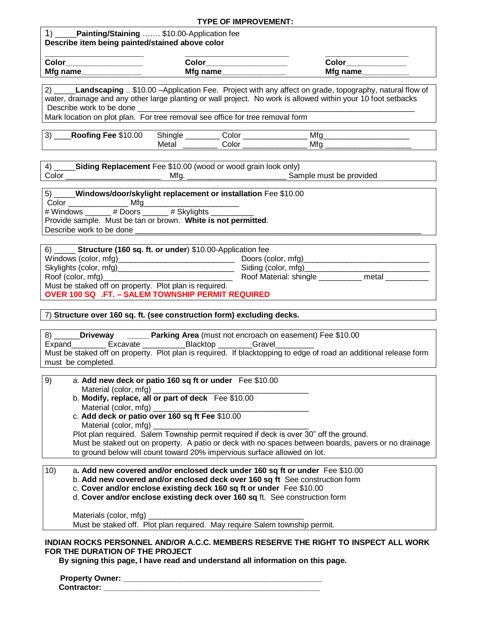#### **TYPE OF IMPROVEMENT:**

| Painting/Staining  \$10.00-Application fee<br>Describe item being painted/stained above color |          |          |
|-----------------------------------------------------------------------------------------------|----------|----------|
| Color                                                                                         | Color    | Color    |
| Mfg name                                                                                      | Mfg name | Mfg name |
|                                                                                               |          |          |

2) \_\_\_\_\_**Landscaping** .. \$10.00 –Application Fee. Project with any affect on grade, topography, natural flow of water, drainage and any other large planting or wall project. No work is allowed within your 10 foot setbacks Describe work to be done

Mark location on plot plan. For tree removal see office for tree removal form

| 3)<br>\$10.00<br>Roofing<br>Fee | <b>Shingle</b> | olorٽ | Mf <sub>c</sub> |  |
|---------------------------------|----------------|-------|-----------------|--|
|                                 | Metal          | Color | Mfo             |  |

4) \_\_\_\_\_**Siding Replacement** Fee \$10.00 (wood or wood grain look only) Color \_\_\_\_\_\_\_\_\_\_\_\_\_\_\_\_\_\_\_\_\_\_ Mfg. \_\_\_\_\_\_\_\_\_\_\_\_\_\_\_\_\_\_\_\_\_\_\_ Sample must be provided

| <b>5</b> )                                    |     | Windows/door/skylight replacement or installation Fee \$10.00 |  |  |
|-----------------------------------------------|-----|---------------------------------------------------------------|--|--|
| Color                                         | Mfa |                                                               |  |  |
| # Windows ______ # Doors ______ # Skylights _ |     |                                                               |  |  |
|                                               |     | Provide sample. Must be tan or brown. White is not permitted. |  |  |
| Describe work to be done                      |     |                                                               |  |  |

| Structure (160 sq. ft. or under) \$10.00-Application fee<br><sup>6)</sup> |                             |       |  |
|---------------------------------------------------------------------------|-----------------------------|-------|--|
|                                                                           | Doors (color, mfg)_________ |       |  |
|                                                                           | Siding (color, mfg)         |       |  |
| Roof (color, mfg)                                                         | Roof Material: shingle      | metal |  |
| Must be staked off on property. Plot plan is required.                    |                             |       |  |
| <b>OVER 100 SQ .FT. - SALEM TOWNSHIP PERMIT REQUIRED</b>                  |                             |       |  |

7) **Structure over 160 sq. ft. (see construction form) excluding decks.**

| 8)     | Driveway           |                | <b>Parking Area</b> (must not encroach on easement) Fee \$10.00 |                                                                                                                   |
|--------|--------------------|----------------|-----------------------------------------------------------------|-------------------------------------------------------------------------------------------------------------------|
| Expand | Excavate           | Blacktop Maria | Gravel                                                          |                                                                                                                   |
|        |                    |                |                                                                 | Must be staked off on property. Plot plan is required. If blacktopping to edge of road an additional release form |
|        | must be completed. |                |                                                                 |                                                                                                                   |

| 9)  | a. Add new deck or patio 160 sq ft or under Fee \$10.00<br>Material (color, mfg)                                                                                                                                                                                           |
|-----|----------------------------------------------------------------------------------------------------------------------------------------------------------------------------------------------------------------------------------------------------------------------------|
|     | b. Modify, replace, all or part of deck Fee \$10.00<br>Material (color, mfg)                                                                                                                                                                                               |
|     | c. Add deck or patio over 160 sq ft Fee \$10.00<br>Material (color, mfg)                                                                                                                                                                                                   |
|     | Plot plan required. Salem Township permit required if deck is over 30" off the ground.<br>Must be staked out on property. A patio or deck with no spaces between boards, pavers or no drainage<br>to ground below will count toward 20% impervious surface allowed on lot. |
|     |                                                                                                                                                                                                                                                                            |
| 10) | a. Add new covered and/or enclosed deck under 160 sq ft or under Fee \$10.00<br>b. Add new covered and/or enclosed deck over 160 sq ft See construction form<br>c. Cover and/or enclose existing deck 160 sq ft or under Fee \$10.00                                       |

d. **Cover and/or enclose existing deck over 160 sq** ft. See construction form

Materials (color, mfg)

Must be staked off. Plot plan required. May require Salem township permit.

#### **INDIAN ROCKS PERSONNEL AND/OR A.C.C. MEMBERS RESERVE THE RIGHT TO INSPECT ALL WORK FOR THE DURATION OF THE PROJECT**

**By signing this page, I have read and understand all information on this page.**

| <b>Property Owner:</b> |  |
|------------------------|--|
| Contractor:            |  |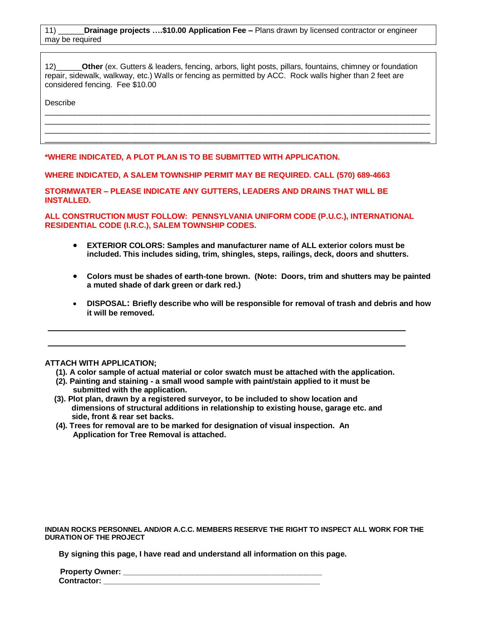12) **Other** (ex. Gutters & leaders, fencing, arbors, light posts, pillars, fountains, chimney or foundation repair, sidewalk, walkway, etc.) Walls or fencing as permitted by ACC. Rock walls higher than 2 feet are considered fencing. Fee \$10.00

\_\_\_\_\_\_\_\_\_\_\_\_\_\_\_\_\_\_\_\_\_\_\_\_\_\_\_\_\_\_\_\_\_\_\_\_\_\_\_\_\_\_\_\_\_\_\_\_\_\_\_\_\_\_\_\_\_\_\_\_\_\_\_\_\_\_\_\_\_\_\_\_\_\_\_\_\_\_\_\_\_\_\_\_\_\_\_\_\_  $\_$  ,  $\_$  ,  $\_$  ,  $\_$  ,  $\_$  ,  $\_$  ,  $\_$  ,  $\_$  ,  $\_$  ,  $\_$  ,  $\_$  ,  $\_$  ,  $\_$  ,  $\_$  ,  $\_$  ,  $\_$  ,  $\_$  ,  $\_$  ,  $\_$  ,  $\_$  ,  $\_$  ,  $\_$  ,  $\_$  ,  $\_$  ,  $\_$  ,  $\_$  ,  $\_$  ,  $\_$  ,  $\_$  ,  $\_$  ,  $\_$  ,  $\_$  ,  $\_$  ,  $\_$  ,  $\_$  ,  $\_$  ,  $\_$  ,  $\_$  ,  $\_$  ,  $\_$  ,  $\_$  ,  $\_$  ,  $\_$  ,  $\_$  ,  $\_$  ,  $\_$  ,  $\_$  ,  $\_$  ,  $\_$  ,  $\_$  ,  $\_$  ,  $\_$  ,  $\_$  ,  $\_$  ,  $\_$  ,  $\_$  ,  $\_$  ,  $\_$  ,  $\_$  ,  $\_$  ,  $\_$  ,  $\_$  ,  $\_$  ,  $\_$  ,  $\_$  ,  $\_$  ,  $\_$  ,  $\_$  ,  $\_$  ,  $\_$  ,  $\_$  ,  $\_$  ,  $\_$  ,  $\_$  ,  $\_$  ,  $\_$  ,  $\_$  ,  $\_$  ,  $\_$  ,  $\_$  ,  $\_$  ,  $\_$  ,  $\_$  ,  $\_$  ,  $\_$  ,  $\_$  ,  $\_$  ,  $\_$  ,  $\_$  ,  $\_$  ,  $\_$  ,  $\_$  ,  $\_$  ,  $\_$  ,  $\_$  ,  $\_$  ,  $\_$  ,  $\_$  ,  $\_$  ,  $\_$  ,  $\_$  ,  $\_$  ,  $\_$  ,  $\_$  ,  $\_$  ,  $\_$  ,  $\_$  ,  $\_$  ,  $\_$  ,  $\_$  ,  $\_$  ,

Describe

**\*WHERE INDICATED, A PLOT PLAN IS TO BE SUBMITTED WITH APPLICATION.**

**WHERE INDICATED, A SALEM TOWNSHIP PERMIT MAY BE REQUIRED. CALL (570) 689-4663**

**STORMWATER – PLEASE INDICATE ANY GUTTERS, LEADERS AND DRAINS THAT WILL BE INSTALLED.**

**ALL CONSTRUCTION MUST FOLLOW: PENNSYLVANIA UNIFORM CODE (P.U.C.), INTERNATIONAL RESIDENTIAL CODE (I.R.C.), SALEM TOWNSHIP CODES.**

- **EXTERIOR COLORS: Samples and manufacturer name of ALL exterior colors must be included. This includes siding, trim, shingles, steps, railings, deck, doors and shutters.**
- **Colors must be shades of earth-tone brown. (Note: Doors, trim and shutters may be painted a muted shade of dark green or dark red.)**
- **DISPOSAL: Briefly describe who will be responsible for removal of trash and debris and how it will be removed.**

#### **ATTACH WITH APPLICATION;**

- **(1). A color sample of actual material or color swatch must be attached with the application.**
- **(2). Painting and staining - a small wood sample with paint/stain applied to it must be submitted with the application.**
- **(3). Plot plan, drawn by a registered surveyor, to be included to show location and dimensions of structural additions in relationship to existing house, garage etc. and side, front & rear set backs.**
- **(4). Trees for removal are to be marked for designation of visual inspection. An Application for Tree Removal is attached.**

**INDIAN ROCKS PERSONNEL AND/OR A.C.C. MEMBERS RESERVE THE RIGHT TO INSPECT ALL WORK FOR THE DURATION OF THE PROJECT**

**By signing this page, I have read and understand all information on this page.**

| <b>Property Owner:</b> |  |
|------------------------|--|
| Contractor:            |  |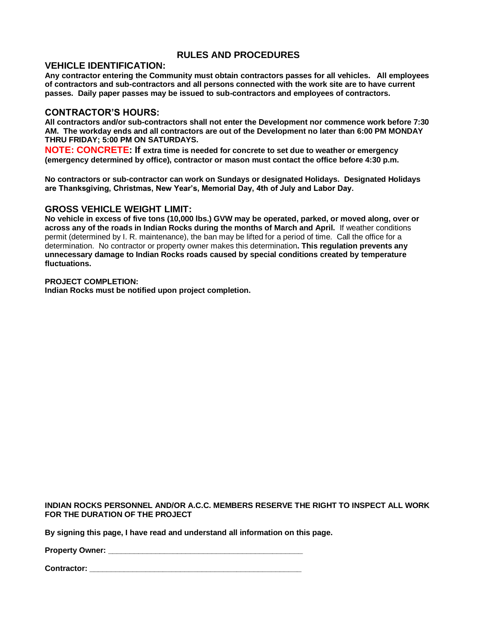## **RULES AND PROCEDURES**

### **VEHICLE IDENTIFICATION:**

**Any contractor entering the Community must obtain contractors passes for all vehicles. All employees of contractors and sub-contractors and all persons connected with the work site are to have current passes. Daily paper passes may be issued to sub-contractors and employees of contractors.**

### **CONTRACTOR'S HOURS:**

**All contractors and/or sub-contractors shall not enter the Development nor commence work before 7:30 AM. The workday ends and all contractors are out of the Development no later than 6:00 PM MONDAY THRU FRIDAY; 5:00 PM ON SATURDAYS.**

**NOTE: CONCRETE: If extra time is needed for concrete to set due to weather or emergency (emergency determined by office), contractor or mason must contact the office before 4:30 p.m.** 

**No contractors or sub-contractor can work on Sundays or designated Holidays. Designated Holidays are Thanksgiving, Christmas, New Year's, Memorial Day, 4th of July and Labor Day.** 

## **GROSS VEHICLE WEIGHT LIMIT:**

**No vehicle in excess of five tons (10,000 lbs.) GVW may be operated, parked, or moved along, over or across any of the roads in Indian Rocks during the months of March and April.** If weather conditions permit (determined by I. R. maintenance), the ban may be lifted for a period of time. Call the office for a determination. No contractor or property owner makes this determination**. This regulation prevents any unnecessary damage to Indian Rocks roads caused by special conditions created by temperature fluctuations.** 

#### **PROJECT COMPLETION:**

**Indian Rocks must be notified upon project completion.**

**INDIAN ROCKS PERSONNEL AND/OR A.C.C. MEMBERS RESERVE THE RIGHT TO INSPECT ALL WORK FOR THE DURATION OF THE PROJECT**

**By signing this page, I have read and understand all information on this page.**

**Property Owner:**  $\blacksquare$ 

**Contractor: \_\_\_\_\_\_\_\_\_\_\_\_\_\_\_\_\_\_\_\_\_\_\_\_\_\_\_\_\_\_\_\_\_\_\_\_\_\_\_\_\_\_\_\_\_\_\_\_\_**